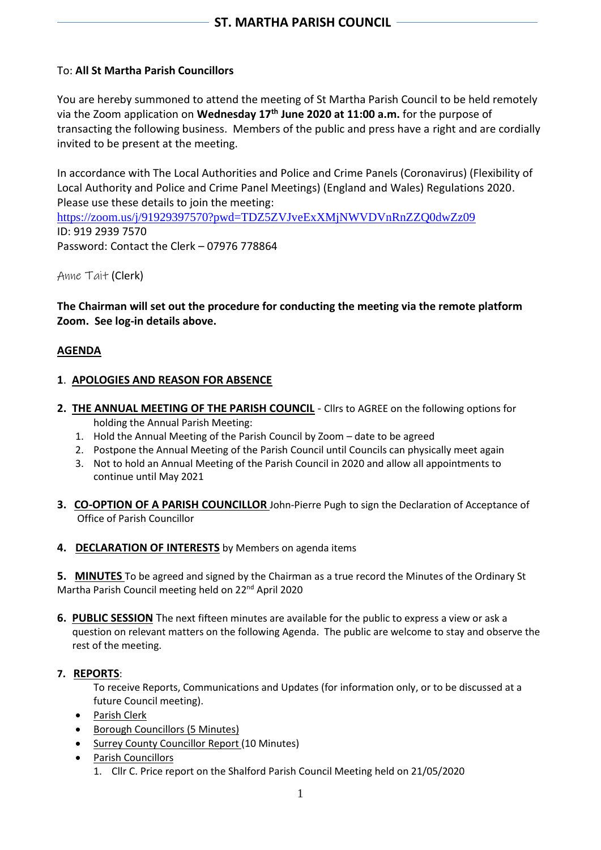# To: **All St Martha Parish Councillors**

You are hereby summoned to attend the meeting of St Martha Parish Council to be held remotely via the Zoom application on **Wednesday 17th June 2020 at 11:00 a.m.** for the purpose of transacting the following business. Members of the public and press have a right and are cordially invited to be present at the meeting.

In accordance with The Local Authorities and Police and Crime Panels (Coronavirus) (Flexibility of Local Authority and Police and Crime Panel Meetings) (England and Wales) Regulations 2020. Please use these details to join the meeting: https://zoom.us/j/91929397570?pwd=TDZ5ZVJveExXMjNWVDVnRnZZO0dwZz09 ID: 919 2939 7570 Password: Contact the Clerk – 07976 778864

Anne Tait (Clerk)

**The Chairman will set out the procedure for conducting the meeting via the remote platform Zoom. See log-in details above.**

## **AGENDA**

## **1**. **APOLOGIES AND REASON FOR ABSENCE**

- 2. **THE ANNUAL MEETING OF THE PARISH COUNCIL** Cllrs to AGREE on the following options for holding the Annual Parish Meeting:
	- 1. Hold the Annual Meeting of the Parish Council by Zoom date to be agreed
	- 2. Postpone the Annual Meeting of the Parish Council until Councils can physically meet again
	- 3. Not to hold an Annual Meeting of the Parish Council in 2020 and allow all appointments to continue until May 2021
- **3. CO-OPTION OF A PARISH COUNCILLOR** John-Pierre Pugh to sign the Declaration of Acceptance of Office of Parish Councillor
- **4. DECLARATION OF INTERESTS** by Members on agenda items

**5. MINUTES** To be agreed and signed by the Chairman as a true record the Minutes of the Ordinary St Martha Parish Council meeting held on 22nd April 2020

**6. PUBLIC SESSION** The next fifteen minutes are available for the public to express a view or ask a question on relevant matters on the following Agenda. The public are welcome to stay and observe the rest of the meeting.

#### **7. REPORTS**:

To receive Reports, Communications and Updates (for information only, or to be discussed at a future Council meeting).

- Parish Clerk
- Borough Councillors (5 Minutes)
- Surrey County Councillor Report (10 Minutes)
- Parish Councillors
	- 1. Cllr C. Price report on the Shalford Parish Council Meeting held on 21/05/2020